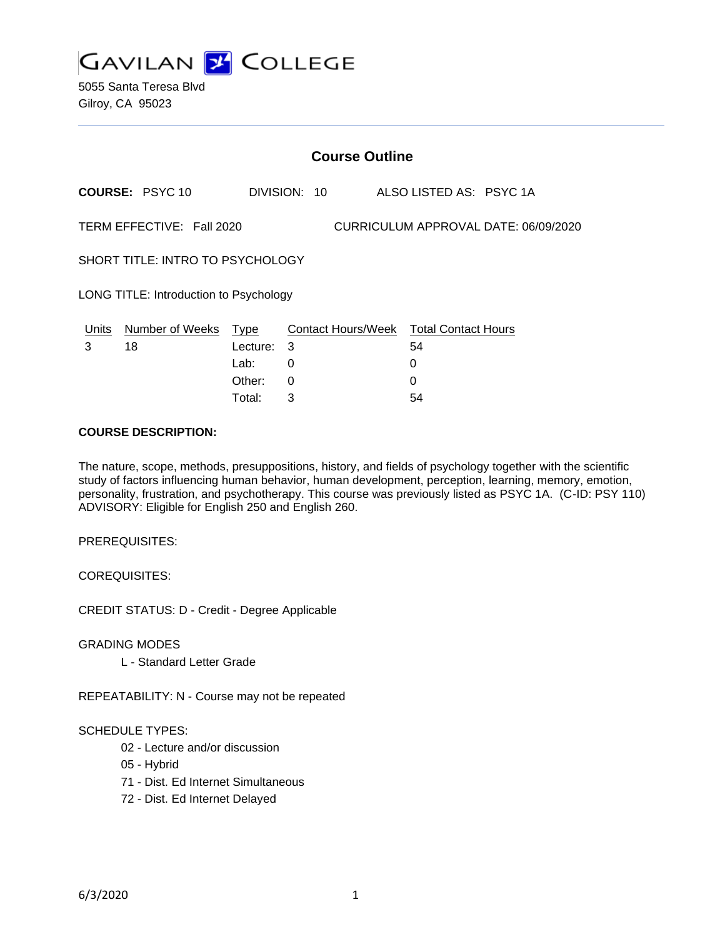

5055 Santa Teresa Blvd Gilroy, CA 95023

|                                                                   | <b>Course Outline</b>  |            |   |              |  |                                        |  |  |  |
|-------------------------------------------------------------------|------------------------|------------|---|--------------|--|----------------------------------------|--|--|--|
|                                                                   | <b>COURSE: PSYC 10</b> |            |   | DIVISION: 10 |  | ALSO LISTED AS: PSYC 1A                |  |  |  |
| TERM EFFECTIVE: Fall 2020<br>CURRICULUM APPROVAL DATE: 06/09/2020 |                        |            |   |              |  |                                        |  |  |  |
| SHORT TITLE: INTRO TO PSYCHOLOGY                                  |                        |            |   |              |  |                                        |  |  |  |
| LONG TITLE: Introduction to Psychology                            |                        |            |   |              |  |                                        |  |  |  |
| Units                                                             | Number of Weeks        | Type       |   |              |  | Contact Hours/Week Total Contact Hours |  |  |  |
| 3                                                                 | 18                     | Lecture: . | 3 |              |  | 54                                     |  |  |  |
|                                                                   |                        | Lab:       | 0 |              |  | 0                                      |  |  |  |
|                                                                   |                        | Other:     | 0 |              |  | 0                                      |  |  |  |

Total: 3 54

#### **COURSE DESCRIPTION:**

The nature, scope, methods, presuppositions, history, and fields of psychology together with the scientific study of factors influencing human behavior, human development, perception, learning, memory, emotion, personality, frustration, and psychotherapy. This course was previously listed as PSYC 1A. (C-ID: PSY 110) ADVISORY: Eligible for English 250 and English 260.

PREREQUISITES:

COREQUISITES:

CREDIT STATUS: D - Credit - Degree Applicable

GRADING MODES

L - Standard Letter Grade

REPEATABILITY: N - Course may not be repeated

#### SCHEDULE TYPES:

- 02 Lecture and/or discussion
- 05 Hybrid
- 71 Dist. Ed Internet Simultaneous
- 72 Dist. Ed Internet Delayed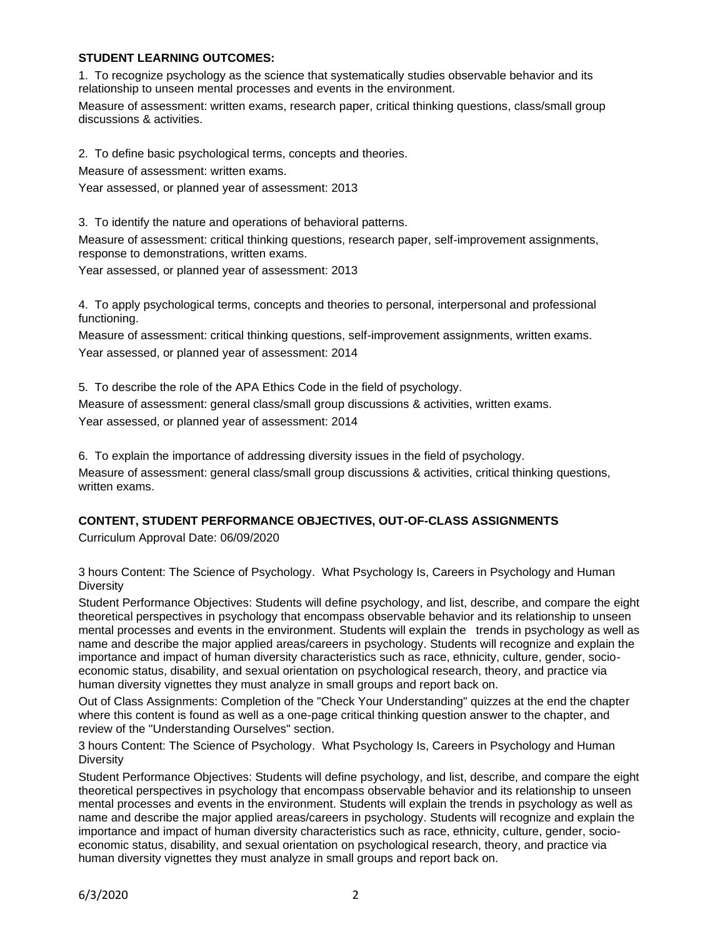### **STUDENT LEARNING OUTCOMES:**

1. To recognize psychology as the science that systematically studies observable behavior and its relationship to unseen mental processes and events in the environment.

Measure of assessment: written exams, research paper, critical thinking questions, class/small group discussions & activities.

2. To define basic psychological terms, concepts and theories.

Measure of assessment: written exams.

Year assessed, or planned year of assessment: 2013

3. To identify the nature and operations of behavioral patterns.

Measure of assessment: critical thinking questions, research paper, self-improvement assignments, response to demonstrations, written exams.

Year assessed, or planned year of assessment: 2013

4. To apply psychological terms, concepts and theories to personal, interpersonal and professional functioning.

Measure of assessment: critical thinking questions, self-improvement assignments, written exams. Year assessed, or planned year of assessment: 2014

5. To describe the role of the APA Ethics Code in the field of psychology. Measure of assessment: general class/small group discussions & activities, written exams. Year assessed, or planned year of assessment: 2014

6. To explain the importance of addressing diversity issues in the field of psychology. Measure of assessment: general class/small group discussions & activities, critical thinking questions, written exams.

# **CONTENT, STUDENT PERFORMANCE OBJECTIVES, OUT-OF-CLASS ASSIGNMENTS**

Curriculum Approval Date: 06/09/2020

3 hours Content: The Science of Psychology. What Psychology Is, Careers in Psychology and Human **Diversity** 

Student Performance Objectives: Students will define psychology, and list, describe, and compare the eight theoretical perspectives in psychology that encompass observable behavior and its relationship to unseen mental processes and events in the environment. Students will explain the trends in psychology as well as name and describe the major applied areas/careers in psychology. Students will recognize and explain the importance and impact of human diversity characteristics such as race, ethnicity, culture, gender, socioeconomic status, disability, and sexual orientation on psychological research, theory, and practice via human diversity vignettes they must analyze in small groups and report back on.

Out of Class Assignments: Completion of the "Check Your Understanding" quizzes at the end the chapter where this content is found as well as a one-page critical thinking question answer to the chapter, and review of the "Understanding Ourselves" section.

3 hours Content: The Science of Psychology. What Psychology Is, Careers in Psychology and Human **Diversity** 

Student Performance Objectives: Students will define psychology, and list, describe, and compare the eight theoretical perspectives in psychology that encompass observable behavior and its relationship to unseen mental processes and events in the environment. Students will explain the trends in psychology as well as name and describe the major applied areas/careers in psychology. Students will recognize and explain the importance and impact of human diversity characteristics such as race, ethnicity, culture, gender, socioeconomic status, disability, and sexual orientation on psychological research, theory, and practice via human diversity vignettes they must analyze in small groups and report back on.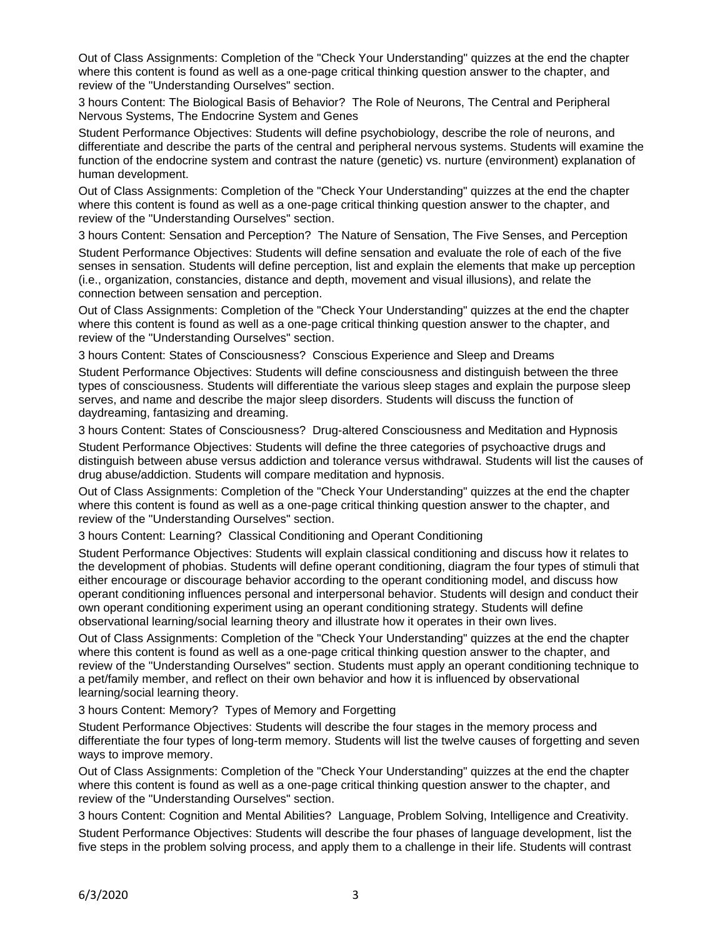Out of Class Assignments: Completion of the "Check Your Understanding" quizzes at the end the chapter where this content is found as well as a one-page critical thinking question answer to the chapter, and review of the "Understanding Ourselves" section.

3 hours Content: The Biological Basis of Behavior? The Role of Neurons, The Central and Peripheral Nervous Systems, The Endocrine System and Genes

Student Performance Objectives: Students will define psychobiology, describe the role of neurons, and differentiate and describe the parts of the central and peripheral nervous systems. Students will examine the function of the endocrine system and contrast the nature (genetic) vs. nurture (environment) explanation of human development.

Out of Class Assignments: Completion of the "Check Your Understanding" quizzes at the end the chapter where this content is found as well as a one-page critical thinking question answer to the chapter, and review of the "Understanding Ourselves" section.

3 hours Content: Sensation and Perception? The Nature of Sensation, The Five Senses, and Perception

Student Performance Objectives: Students will define sensation and evaluate the role of each of the five senses in sensation. Students will define perception, list and explain the elements that make up perception (i.e., organization, constancies, distance and depth, movement and visual illusions), and relate the connection between sensation and perception.

Out of Class Assignments: Completion of the "Check Your Understanding" quizzes at the end the chapter where this content is found as well as a one-page critical thinking question answer to the chapter, and review of the "Understanding Ourselves" section.

3 hours Content: States of Consciousness? Conscious Experience and Sleep and Dreams

Student Performance Objectives: Students will define consciousness and distinguish between the three types of consciousness. Students will differentiate the various sleep stages and explain the purpose sleep serves, and name and describe the major sleep disorders. Students will discuss the function of daydreaming, fantasizing and dreaming.

3 hours Content: States of Consciousness? Drug-altered Consciousness and Meditation and Hypnosis Student Performance Objectives: Students will define the three categories of psychoactive drugs and distinguish between abuse versus addiction and tolerance versus withdrawal. Students will list the causes of drug abuse/addiction. Students will compare meditation and hypnosis.

Out of Class Assignments: Completion of the "Check Your Understanding" quizzes at the end the chapter where this content is found as well as a one-page critical thinking question answer to the chapter, and review of the "Understanding Ourselves" section.

3 hours Content: Learning? Classical Conditioning and Operant Conditioning

Student Performance Objectives: Students will explain classical conditioning and discuss how it relates to the development of phobias. Students will define operant conditioning, diagram the four types of stimuli that either encourage or discourage behavior according to the operant conditioning model, and discuss how operant conditioning influences personal and interpersonal behavior. Students will design and conduct their own operant conditioning experiment using an operant conditioning strategy. Students will define observational learning/social learning theory and illustrate how it operates in their own lives.

Out of Class Assignments: Completion of the "Check Your Understanding" quizzes at the end the chapter where this content is found as well as a one-page critical thinking question answer to the chapter, and review of the "Understanding Ourselves" section. Students must apply an operant conditioning technique to a pet/family member, and reflect on their own behavior and how it is influenced by observational learning/social learning theory.

3 hours Content: Memory? Types of Memory and Forgetting

Student Performance Objectives: Students will describe the four stages in the memory process and differentiate the four types of long-term memory. Students will list the twelve causes of forgetting and seven ways to improve memory.

Out of Class Assignments: Completion of the "Check Your Understanding" quizzes at the end the chapter where this content is found as well as a one-page critical thinking question answer to the chapter, and review of the "Understanding Ourselves" section.

3 hours Content: Cognition and Mental Abilities? Language, Problem Solving, Intelligence and Creativity. Student Performance Objectives: Students will describe the four phases of language development, list the five steps in the problem solving process, and apply them to a challenge in their life. Students will contrast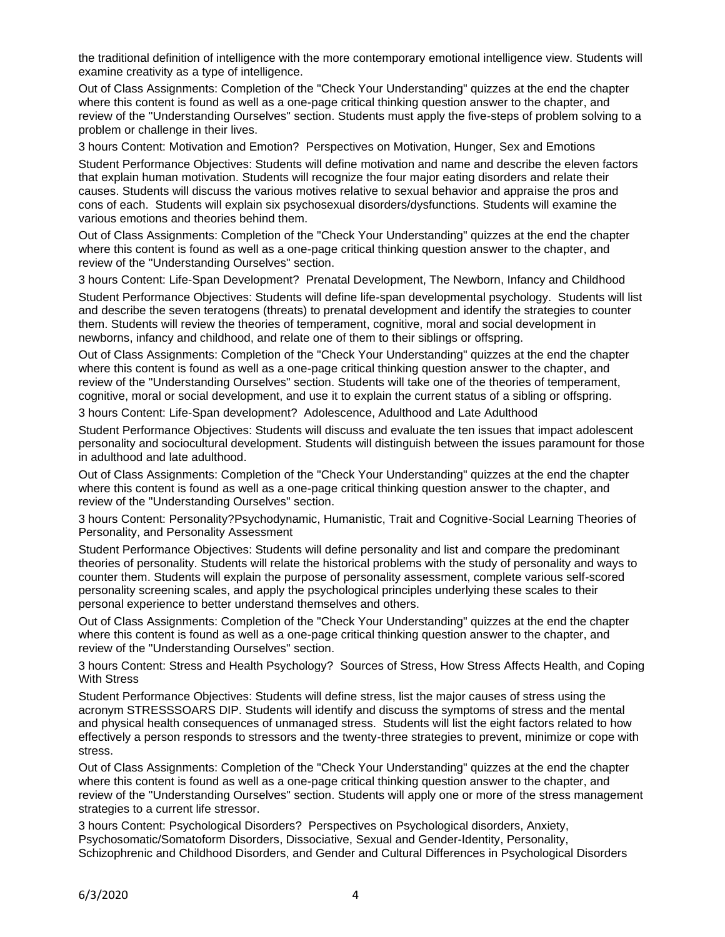the traditional definition of intelligence with the more contemporary emotional intelligence view. Students will examine creativity as a type of intelligence.

Out of Class Assignments: Completion of the "Check Your Understanding" quizzes at the end the chapter where this content is found as well as a one-page critical thinking question answer to the chapter, and review of the "Understanding Ourselves" section. Students must apply the five-steps of problem solving to a problem or challenge in their lives.

3 hours Content: Motivation and Emotion? Perspectives on Motivation, Hunger, Sex and Emotions

Student Performance Objectives: Students will define motivation and name and describe the eleven factors that explain human motivation. Students will recognize the four major eating disorders and relate their causes. Students will discuss the various motives relative to sexual behavior and appraise the pros and cons of each. Students will explain six psychosexual disorders/dysfunctions. Students will examine the various emotions and theories behind them.

Out of Class Assignments: Completion of the "Check Your Understanding" quizzes at the end the chapter where this content is found as well as a one-page critical thinking question answer to the chapter, and review of the "Understanding Ourselves" section.

3 hours Content: Life-Span Development? Prenatal Development, The Newborn, Infancy and Childhood Student Performance Objectives: Students will define life-span developmental psychology. Students will list and describe the seven teratogens (threats) to prenatal development and identify the strategies to counter them. Students will review the theories of temperament, cognitive, moral and social development in newborns, infancy and childhood, and relate one of them to their siblings or offspring.

Out of Class Assignments: Completion of the "Check Your Understanding" quizzes at the end the chapter where this content is found as well as a one-page critical thinking question answer to the chapter, and review of the "Understanding Ourselves" section. Students will take one of the theories of temperament, cognitive, moral or social development, and use it to explain the current status of a sibling or offspring.

3 hours Content: Life-Span development? Adolescence, Adulthood and Late Adulthood

Student Performance Objectives: Students will discuss and evaluate the ten issues that impact adolescent personality and sociocultural development. Students will distinguish between the issues paramount for those in adulthood and late adulthood.

Out of Class Assignments: Completion of the "Check Your Understanding" quizzes at the end the chapter where this content is found as well as a one-page critical thinking question answer to the chapter, and review of the "Understanding Ourselves" section.

3 hours Content: Personality?Psychodynamic, Humanistic, Trait and Cognitive-Social Learning Theories of Personality, and Personality Assessment

Student Performance Objectives: Students will define personality and list and compare the predominant theories of personality. Students will relate the historical problems with the study of personality and ways to counter them. Students will explain the purpose of personality assessment, complete various self-scored personality screening scales, and apply the psychological principles underlying these scales to their personal experience to better understand themselves and others.

Out of Class Assignments: Completion of the "Check Your Understanding" quizzes at the end the chapter where this content is found as well as a one-page critical thinking question answer to the chapter, and review of the "Understanding Ourselves" section.

3 hours Content: Stress and Health Psychology? Sources of Stress, How Stress Affects Health, and Coping With Stress

Student Performance Objectives: Students will define stress, list the major causes of stress using the acronym STRESSSOARS DIP. Students will identify and discuss the symptoms of stress and the mental and physical health consequences of unmanaged stress. Students will list the eight factors related to how effectively a person responds to stressors and the twenty-three strategies to prevent, minimize or cope with stress.

Out of Class Assignments: Completion of the "Check Your Understanding" quizzes at the end the chapter where this content is found as well as a one-page critical thinking question answer to the chapter, and review of the "Understanding Ourselves" section. Students will apply one or more of the stress management strategies to a current life stressor.

3 hours Content: Psychological Disorders? Perspectives on Psychological disorders, Anxiety, Psychosomatic/Somatoform Disorders, Dissociative, Sexual and Gender-Identity, Personality, Schizophrenic and Childhood Disorders, and Gender and Cultural Differences in Psychological Disorders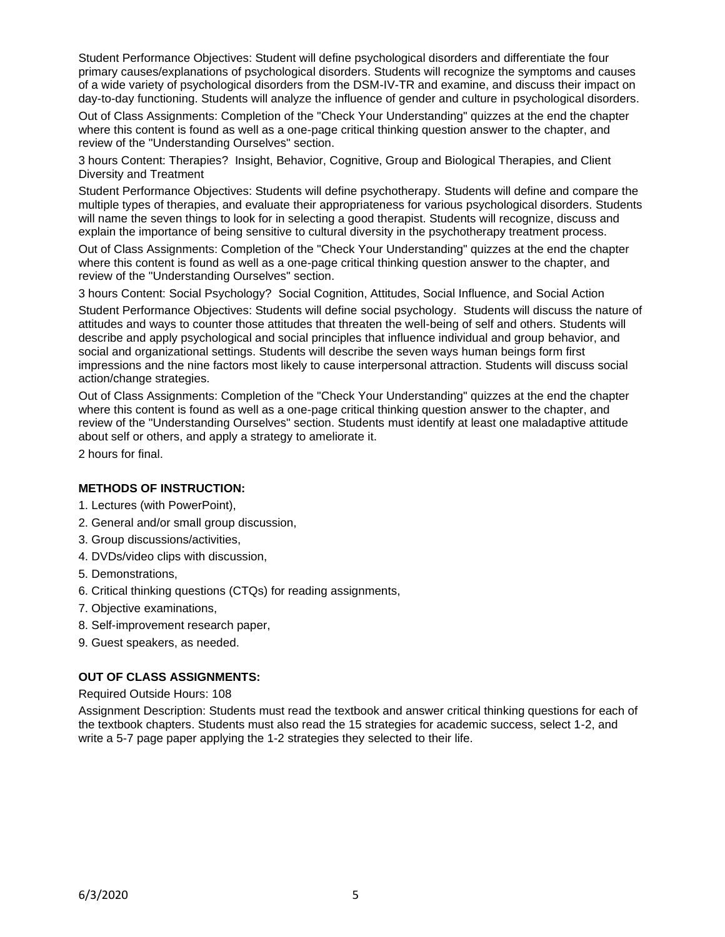Student Performance Objectives: Student will define psychological disorders and differentiate the four primary causes/explanations of psychological disorders. Students will recognize the symptoms and causes of a wide variety of psychological disorders from the DSM-IV-TR and examine, and discuss their impact on day-to-day functioning. Students will analyze the influence of gender and culture in psychological disorders.

Out of Class Assignments: Completion of the "Check Your Understanding" quizzes at the end the chapter where this content is found as well as a one-page critical thinking question answer to the chapter, and review of the "Understanding Ourselves" section.

3 hours Content: Therapies? Insight, Behavior, Cognitive, Group and Biological Therapies, and Client Diversity and Treatment

Student Performance Objectives: Students will define psychotherapy. Students will define and compare the multiple types of therapies, and evaluate their appropriateness for various psychological disorders. Students will name the seven things to look for in selecting a good therapist. Students will recognize, discuss and explain the importance of being sensitive to cultural diversity in the psychotherapy treatment process.

Out of Class Assignments: Completion of the "Check Your Understanding" quizzes at the end the chapter where this content is found as well as a one-page critical thinking question answer to the chapter, and review of the "Understanding Ourselves" section.

3 hours Content: Social Psychology? Social Cognition, Attitudes, Social Influence, and Social Action

Student Performance Objectives: Students will define social psychology. Students will discuss the nature of attitudes and ways to counter those attitudes that threaten the well-being of self and others. Students will describe and apply psychological and social principles that influence individual and group behavior, and social and organizational settings. Students will describe the seven ways human beings form first impressions and the nine factors most likely to cause interpersonal attraction. Students will discuss social action/change strategies.

Out of Class Assignments: Completion of the "Check Your Understanding" quizzes at the end the chapter where this content is found as well as a one-page critical thinking question answer to the chapter, and review of the "Understanding Ourselves" section. Students must identify at least one maladaptive attitude about self or others, and apply a strategy to ameliorate it.

2 hours for final.

#### **METHODS OF INSTRUCTION:**

- 1. Lectures (with PowerPoint),
- 2. General and/or small group discussion,
- 3. Group discussions/activities,
- 4. DVDs/video clips with discussion,
- 5. Demonstrations,
- 6. Critical thinking questions (CTQs) for reading assignments,
- 7. Objective examinations,
- 8. Self-improvement research paper,
- 9. Guest speakers, as needed.

### **OUT OF CLASS ASSIGNMENTS:**

Required Outside Hours: 108

Assignment Description: Students must read the textbook and answer critical thinking questions for each of the textbook chapters. Students must also read the 15 strategies for academic success, select 1-2, and write a 5-7 page paper applying the 1-2 strategies they selected to their life.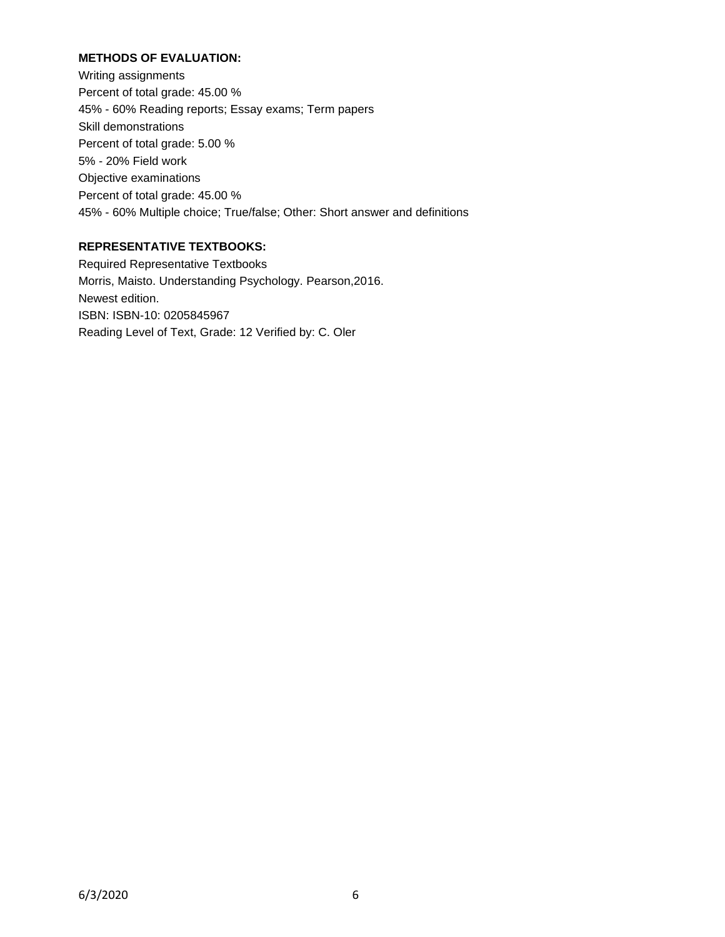### **METHODS OF EVALUATION:**

Writing assignments Percent of total grade: 45.00 % 45% - 60% Reading reports; Essay exams; Term papers Skill demonstrations Percent of total grade: 5.00 % 5% - 20% Field work Objective examinations Percent of total grade: 45.00 % 45% - 60% Multiple choice; True/false; Other: Short answer and definitions

# **REPRESENTATIVE TEXTBOOKS:**

Required Representative Textbooks Morris, Maisto. Understanding Psychology. Pearson,2016. Newest edition. ISBN: ISBN-10: 0205845967 Reading Level of Text, Grade: 12 Verified by: C. Oler